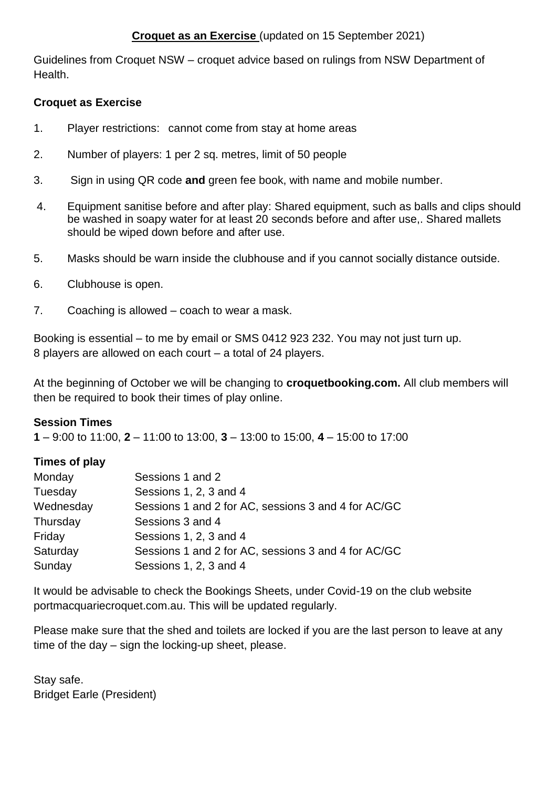## **Croquet as an Exercise** (updated on 15 September 2021)

Guidelines from Croquet NSW – croquet advice based on rulings from NSW Department of Health.

## **Croquet as Exercise**

- 1. Player restrictions: cannot come from stay at home areas
- 2. Number of players: 1 per 2 sq. metres, limit of 50 people
- 3. Sign in using QR code **and** green fee book, with name and mobile number.
- 4. Equipment sanitise before and after play: Shared equipment, such as balls and clips should be washed in soapy water for at least 20 seconds before and after use,. Shared mallets should be wiped down before and after use.
- 5. Masks should be warn inside the clubhouse and if you cannot socially distance outside.
- 6. Clubhouse is open.
- 7. Coaching is allowed coach to wear a mask.

Booking is essential – to me by email or SMS 0412 923 232. You may not just turn up. 8 players are allowed on each court – a total of 24 players.

At the beginning of October we will be changing to **croquetbooking.com.** All club members will then be required to book their times of play online.

# **Session Times**

**1** – 9:00 to 11:00, **2** – 11:00 to 13:00, **3** – 13:00 to 15:00, **4** – 15:00 to 17:00

# **Times of play**

| Monday    | Sessions 1 and 2                                    |
|-----------|-----------------------------------------------------|
| Tuesday   | Sessions 1, 2, 3 and 4                              |
| Wednesday | Sessions 1 and 2 for AC, sessions 3 and 4 for AC/GC |
| Thursday  | Sessions 3 and 4                                    |
| Friday    | Sessions 1, 2, 3 and 4                              |
| Saturday  | Sessions 1 and 2 for AC, sessions 3 and 4 for AC/GC |
| Sunday    | Sessions 1, 2, 3 and 4                              |

It would be advisable to check the Bookings Sheets, under Covid-19 on the club website portmacquariecroquet.com.au. This will be updated regularly.

Please make sure that the shed and toilets are locked if you are the last person to leave at any time of the day – sign the locking-up sheet, please.

Stay safe. Bridget Earle (President)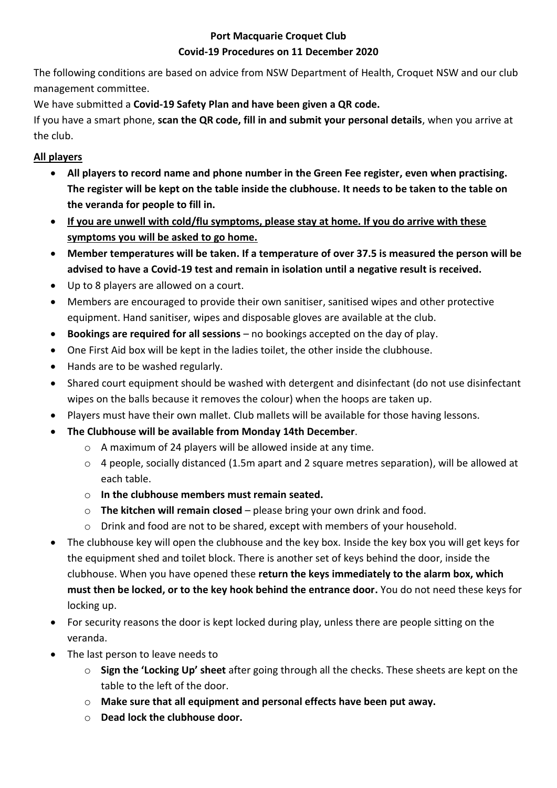## **Port Macquarie Croquet Club Covid-19 Procedures on 11 December 2020**

The following conditions are based on advice from NSW Department of Health, Croquet NSW and our club management committee.

We have submitted a **Covid-19 Safety Plan and have been given a QR code.**

If you have a smart phone, **scan the QR code, fill in and submit your personal details**, when you arrive at the club.

# **All players**

- **All players to record name and phone number in the Green Fee register, even when practising. The register will be kept on the table inside the clubhouse. It needs to be taken to the table on the veranda for people to fill in.**
- **If you are unwell with cold/flu symptoms, please stay at home. If you do arrive with these symptoms you will be asked to go home.**
- **Member temperatures will be taken. If a temperature of over 37.5 is measured the person will be advised to have a Covid-19 test and remain in isolation until a negative result is received.**
- Up to 8 players are allowed on a court.
- Members are encouraged to provide their own sanitiser, sanitised wipes and other protective equipment. Hand sanitiser, wipes and disposable gloves are available at the club.
- **Bookings are required for all sessions** no bookings accepted on the day of play.
- One First Aid box will be kept in the ladies toilet, the other inside the clubhouse.
- Hands are to be washed regularly.
- Shared court equipment should be washed with detergent and disinfectant (do not use disinfectant wipes on the balls because it removes the colour) when the hoops are taken up.
- Players must have their own mallet. Club mallets will be available for those having lessons.
- **The Clubhouse will be available from Monday 14th December**.
	- o A maximum of 24 players will be allowed inside at any time.
	- o 4 people, socially distanced (1.5m apart and 2 square metres separation), will be allowed at each table.
	- o **In the clubhouse members must remain seated.**
	- o **The kitchen will remain closed** please bring your own drink and food.
	- o Drink and food are not to be shared, except with members of your household.
- The clubhouse key will open the clubhouse and the key box. Inside the key box you will get keys for the equipment shed and toilet block. There is another set of keys behind the door, inside the clubhouse. When you have opened these **return the keys immediately to the alarm box, which must then be locked, or to the key hook behind the entrance door.** You do not need these keys for locking up.
- For security reasons the door is kept locked during play, unless there are people sitting on the veranda.
- The last person to leave needs to
	- o **Sign the 'Locking Up' sheet** after going through all the checks. These sheets are kept on the table to the left of the door.
	- o **Make sure that all equipment and personal effects have been put away.**
	- o **Dead lock the clubhouse door.**